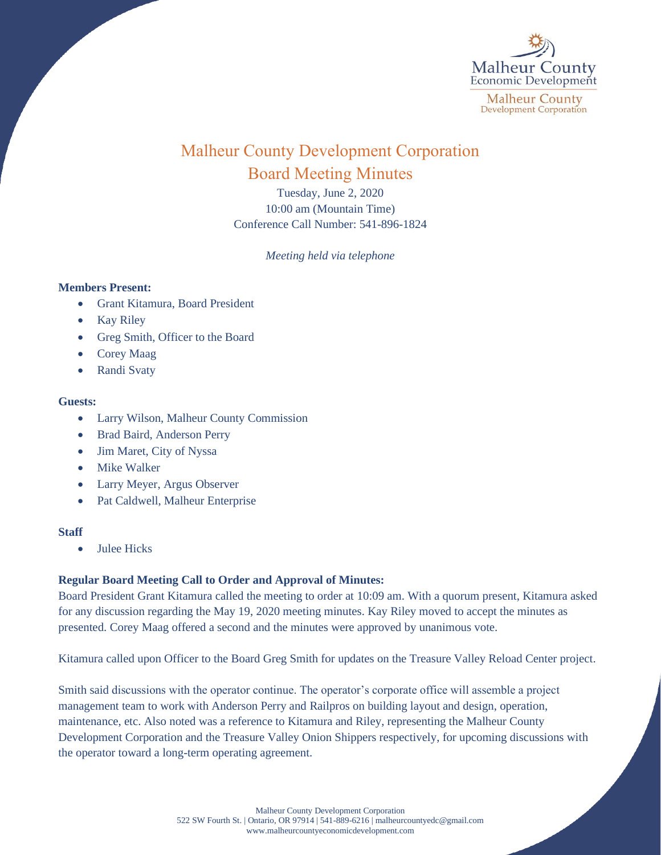

# Malheur County Development Corporation Board Meeting Minutes

Tuesday, June 2, 2020 10:00 am (Mountain Time) Conference Call Number: 541-896-1824

*Meeting held via telephone*

## **Members Present:**

- Grant Kitamura, Board President
- Kay Riley
- Greg Smith, Officer to the Board
- Corey Maag
- Randi Svaty

## **Guests:**

- Larry Wilson, Malheur County Commission
- Brad Baird, Anderson Perry
- Jim Maret, City of Nyssa
- **Mike Walker**
- Larry Meyer, Argus Observer
- Pat Caldwell, Malheur Enterprise

## **Staff**

• Julee Hicks

## **Regular Board Meeting Call to Order and Approval of Minutes:**

Board President Grant Kitamura called the meeting to order at 10:09 am. With a quorum present, Kitamura asked for any discussion regarding the May 19, 2020 meeting minutes. Kay Riley moved to accept the minutes as presented. Corey Maag offered a second and the minutes were approved by unanimous vote.

Kitamura called upon Officer to the Board Greg Smith for updates on the Treasure Valley Reload Center project.

Smith said discussions with the operator continue. The operator's corporate office will assemble a project management team to work with Anderson Perry and Railpros on building layout and design, operation, maintenance, etc. Also noted was a reference to Kitamura and Riley, representing the Malheur County Development Corporation and the Treasure Valley Onion Shippers respectively, for upcoming discussions with the operator toward a long-term operating agreement.